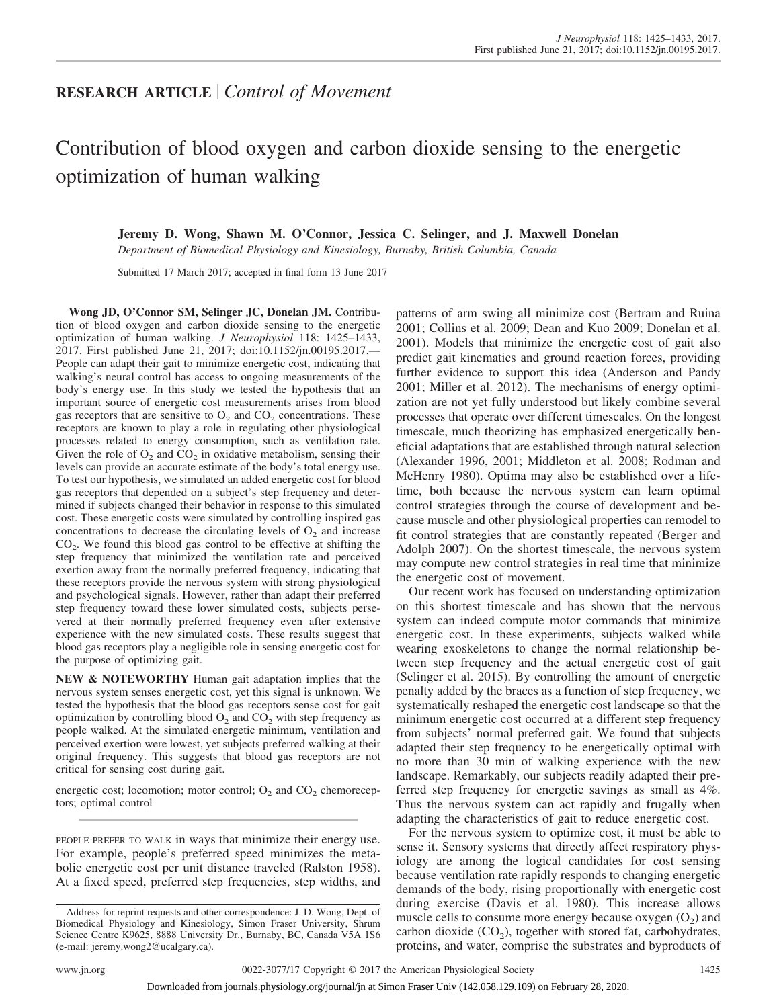# **RESEARCH ARTICLE** *Control of Movement*

# Contribution of blood oxygen and carbon dioxide sensing to the energetic optimization of human walking

**Jeremy D. Wong, Shawn M. O'Connor, Jessica C. Selinger, and J. Maxwell Donelan**

*Department of Biomedical Physiology and Kinesiology, Burnaby, British Columbia, Canada*

Submitted 17 March 2017; accepted in final form 13 June 2017

**Wong JD, O'Connor SM, Selinger JC, Donelan JM.** Contribution of blood oxygen and carbon dioxide sensing to the energetic optimization of human walking. *J Neurophysiol* 118: 1425–1433, 2017. First published June 21, 2017; doi[:10.1152/jn.00195.2017.](http://doi.org/10.1152/jn.00195.2017.)— People can adapt their gait to minimize energetic cost, indicating that walking's neural control has access to ongoing measurements of the body's energy use. In this study we tested the hypothesis that an important source of energetic cost measurements arises from blood gas receptors that are sensitive to  $O_2$  and  $CO_2$  concentrations. These receptors are known to play a role in regulating other physiological processes related to energy consumption, such as ventilation rate. Given the role of  $O_2$  and  $CO_2$  in oxidative metabolism, sensing their levels can provide an accurate estimate of the body's total energy use. To test our hypothesis, we simulated an added energetic cost for blood gas receptors that depended on a subject's step frequency and determined if subjects changed their behavior in response to this simulated cost. These energetic costs were simulated by controlling inspired gas concentrations to decrease the circulating levels of  $O<sub>2</sub>$  and increase  $CO<sub>2</sub>$ . We found this blood gas control to be effective at shifting the step frequency that minimized the ventilation rate and perceived exertion away from the normally preferred frequency, indicating that these receptors provide the nervous system with strong physiological and psychological signals. However, rather than adapt their preferred step frequency toward these lower simulated costs, subjects persevered at their normally preferred frequency even after extensive experience with the new simulated costs. These results suggest that blood gas receptors play a negligible role in sensing energetic cost for the purpose of optimizing gait.

**NEW & NOTEWORTHY** Human gait adaptation implies that the nervous system senses energetic cost, yet this signal is unknown. We tested the hypothesis that the blood gas receptors sense cost for gait optimization by controlling blood  $O_2$  and  $CO_2$  with step frequency as people walked. At the simulated energetic minimum, ventilation and perceived exertion were lowest, yet subjects preferred walking at their original frequency. This suggests that blood gas receptors are not critical for sensing cost during gait.

energetic cost; locomotion; motor control;  $O_2$  and  $CO_2$  chemoreceptors; optimal control

PEOPLE PREFER TO WALK in ways that minimize their energy use. For example, people's preferred speed minimizes the metabolic energetic cost per unit distance traveled (Ralston 1958). At a fixed speed, preferred step frequencies, step widths, and patterns of arm swing all minimize cost (Bertram and Ruina 2001; Collins et al. 2009; Dean and Kuo 2009; Donelan et al. 2001). Models that minimize the energetic cost of gait also predict gait kinematics and ground reaction forces, providing further evidence to support this idea (Anderson and Pandy 2001; Miller et al. 2012). The mechanisms of energy optimization are not yet fully understood but likely combine several processes that operate over different timescales. On the longest timescale, much theorizing has emphasized energetically beneficial adaptations that are established through natural selection (Alexander 1996, 2001; Middleton et al. 2008; Rodman and McHenry 1980). Optima may also be established over a lifetime, both because the nervous system can learn optimal control strategies through the course of development and because muscle and other physiological properties can remodel to fit control strategies that are constantly repeated (Berger and Adolph 2007). On the shortest timescale, the nervous system may compute new control strategies in real time that minimize the energetic cost of movement.

Our recent work has focused on understanding optimization on this shortest timescale and has shown that the nervous system can indeed compute motor commands that minimize energetic cost. In these experiments, subjects walked while wearing exoskeletons to change the normal relationship between step frequency and the actual energetic cost of gait (Selinger et al. 2015). By controlling the amount of energetic penalty added by the braces as a function of step frequency, we systematically reshaped the energetic cost landscape so that the minimum energetic cost occurred at a different step frequency from subjects' normal preferred gait. We found that subjects adapted their step frequency to be energetically optimal with no more than 30 min of walking experience with the new landscape. Remarkably, our subjects readily adapted their preferred step frequency for energetic savings as small as 4%. Thus the nervous system can act rapidly and frugally when adapting the characteristics of gait to reduce energetic cost.

For the nervous system to optimize cost, it must be able to sense it. Sensory systems that directly affect respiratory physiology are among the logical candidates for cost sensing because ventilation rate rapidly responds to changing energetic demands of the body, rising proportionally with energetic cost during exercise (Davis et al. 1980). This increase allows muscle cells to consume more energy because oxygen  $(O_2)$  and carbon dioxide  $(CO<sub>2</sub>)$ , together with stored fat, carbohydrates, proteins, and water, comprise the substrates and byproducts of

Address for reprint requests and other correspondence: J. D. Wong, Dept. of Biomedical Physiology and Kinesiology, Simon Fraser University, Shrum Science Centre K9625, 8888 University Dr., Burnaby, BC, Canada V5A 1S6 (e-mail: [jeremy.wong2@ucalgary.ca\)](mailto:jeremy.wong2@ucalgary.ca).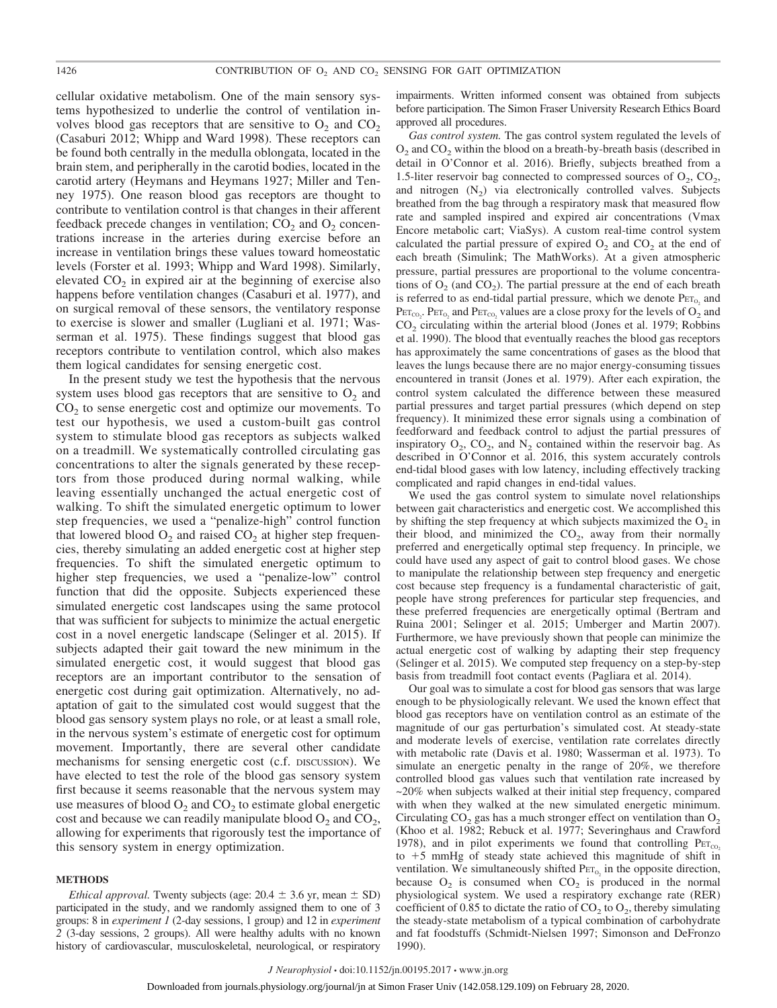cellular oxidative metabolism. One of the main sensory systems hypothesized to underlie the control of ventilation involves blood gas receptors that are sensitive to  $O_2$  and  $CO_2$ (Casaburi 2012; Whipp and Ward 1998). These receptors can be found both centrally in the medulla oblongata, located in the brain stem, and peripherally in the carotid bodies, located in the carotid artery (Heymans and Heymans 1927; Miller and Tenney 1975). One reason blood gas receptors are thought to contribute to ventilation control is that changes in their afferent feedback precede changes in ventilation;  $CO<sub>2</sub>$  and  $O<sub>2</sub>$  concentrations increase in the arteries during exercise before an increase in ventilation brings these values toward homeostatic levels (Forster et al. 1993; Whipp and Ward 1998). Similarly, elevated  $CO<sub>2</sub>$  in expired air at the beginning of exercise also happens before ventilation changes (Casaburi et al. 1977), and on surgical removal of these sensors, the ventilatory response to exercise is slower and smaller (Lugliani et al. 1971; Wasserman et al. 1975). These findings suggest that blood gas receptors contribute to ventilation control, which also makes them logical candidates for sensing energetic cost.

In the present study we test the hypothesis that the nervous system uses blood gas receptors that are sensitive to  $O_2$  and  $CO<sub>2</sub>$  to sense energetic cost and optimize our movements. To test our hypothesis, we used a custom-built gas control system to stimulate blood gas receptors as subjects walked on a treadmill. We systematically controlled circulating gas concentrations to alter the signals generated by these receptors from those produced during normal walking, while leaving essentially unchanged the actual energetic cost of walking. To shift the simulated energetic optimum to lower step frequencies, we used a "penalize-high" control function that lowered blood  $O_2$  and raised  $CO_2$  at higher step frequencies, thereby simulating an added energetic cost at higher step frequencies. To shift the simulated energetic optimum to higher step frequencies, we used a "penalize-low" control function that did the opposite. Subjects experienced these simulated energetic cost landscapes using the same protocol that was sufficient for subjects to minimize the actual energetic cost in a novel energetic landscape (Selinger et al. 2015). If subjects adapted their gait toward the new minimum in the simulated energetic cost, it would suggest that blood gas receptors are an important contributor to the sensation of energetic cost during gait optimization. Alternatively, no adaptation of gait to the simulated cost would suggest that the blood gas sensory system plays no role, or at least a small role, in the nervous system's estimate of energetic cost for optimum movement. Importantly, there are several other candidate mechanisms for sensing energetic cost (c.f. DISCUSSION). We have elected to test the role of the blood gas sensory system first because it seems reasonable that the nervous system may use measures of blood  $O_2$  and  $CO_2$  to estimate global energetic cost and because we can readily manipulate blood  $O_2$  and  $CO_2$ , allowing for experiments that rigorously test the importance of this sensory system in energy optimization.

#### **METHODS**

*Ethical approval.* Twenty subjects (age:  $20.4 \pm 3.6$  yr, mean  $\pm$  SD) participated in the study, and we randomly assigned them to one of 3 groups: 8 in *experiment 1* (2-day sessions, 1 group) and 12 in *experiment 2* (3-day sessions, 2 groups). All were healthy adults with no known history of cardiovascular, musculoskeletal, neurological, or respiratory

impairments. Written informed consent was obtained from subjects before participation. The Simon Fraser University Research Ethics Board approved all procedures.

*Gas control system.* The gas control system regulated the levels of  $O_2$  and  $CO_2$  within the blood on a breath-by-breath basis (described in detail in O'Connor et al. 2016). Briefly, subjects breathed from a 1.5-liter reservoir bag connected to compressed sources of  $O_2$ ,  $CO_2$ , and nitrogen  $(N_2)$  via electronically controlled valves. Subjects breathed from the bag through a respiratory mask that measured flow rate and sampled inspired and expired air concentrations (Vmax Encore metabolic cart; ViaSys). A custom real-time control system calculated the partial pressure of expired  $O_2$  and  $CO_2$  at the end of each breath (Simulink; The MathWorks). At a given atmospheric pressure, partial pressures are proportional to the volume concentrations of  $O_2$  (and  $CO_2$ ). The partial pressure at the end of each breath is referred to as end-tidal partial pressure, which we denote  $Per_{0}$  and  $\text{Per}_{\text{co}_2}$ .  $\text{Per}_{\text{O}_2}$  and  $\text{Per}_{\text{co}_2}$  values are a close proxy for the levels of  $\text{O}_2$  and CO<sub>2</sub> circulating within the arterial blood (Jones et al. 1979; Robbins et al. 1990). The blood that eventually reaches the blood gas receptors has approximately the same concentrations of gases as the blood that leaves the lungs because there are no major energy-consuming tissues encountered in transit (Jones et al. 1979). After each expiration, the control system calculated the difference between these measured partial pressures and target partial pressures (which depend on step frequency). It minimized these error signals using a combination of feedforward and feedback control to adjust the partial pressures of inspiratory  $O_2$ ,  $CO_2$ , and  $N_2$  contained within the reservoir bag. As described in O'Connor et al. 2016, this system accurately controls end-tidal blood gases with low latency, including effectively tracking complicated and rapid changes in end-tidal values.

We used the gas control system to simulate novel relationships between gait characteristics and energetic cost. We accomplished this by shifting the step frequency at which subjects maximized the  $O_2$  in their blood, and minimized the  $CO<sub>2</sub>$ , away from their normally preferred and energetically optimal step frequency. In principle, we could have used any aspect of gait to control blood gases. We chose to manipulate the relationship between step frequency and energetic cost because step frequency is a fundamental characteristic of gait, people have strong preferences for particular step frequencies, and these preferred frequencies are energetically optimal (Bertram and Ruina 2001; Selinger et al. 2015; Umberger and Martin 2007). Furthermore, we have previously shown that people can minimize the actual energetic cost of walking by adapting their step frequency (Selinger et al. 2015). We computed step frequency on a step-by-step basis from treadmill foot contact events (Pagliara et al. 2014).

Our goal was to simulate a cost for blood gas sensors that was large enough to be physiologically relevant. We used the known effect that blood gas receptors have on ventilation control as an estimate of the magnitude of our gas perturbation's simulated cost. At steady-state and moderate levels of exercise, ventilation rate correlates directly with metabolic rate (Davis et al. 1980; Wasserman et al. 1973). To simulate an energetic penalty in the range of 20%, we therefore controlled blood gas values such that ventilation rate increased by ~20% when subjects walked at their initial step frequency, compared with when they walked at the new simulated energetic minimum. Circulating  $CO<sub>2</sub>$  gas has a much stronger effect on ventilation than  $O<sub>2</sub>$ (Khoo et al. 1982; Rebuck et al. 1977; Severinghaus and Crawford 1978), and in pilot experiments we found that controlling  $P_{ET_{CO_2}}$ to  $+5$  mmHg of steady state achieved this magnitude of shift in ventilation. We simultaneously shifted  $Per_{0}$  in the opposite direction, because  $O_2$  is consumed when  $CO_2$  is produced in the normal physiological system. We used a respiratory exchange rate (RER) coefficient of 0.85 to dictate the ratio of  $CO<sub>2</sub>$  to  $O<sub>2</sub>$ , thereby simulating the steady-state metabolism of a typical combination of carbohydrate and fat foodstuffs (Schmidt-Nielsen 1997; Simonson and DeFronzo 1990).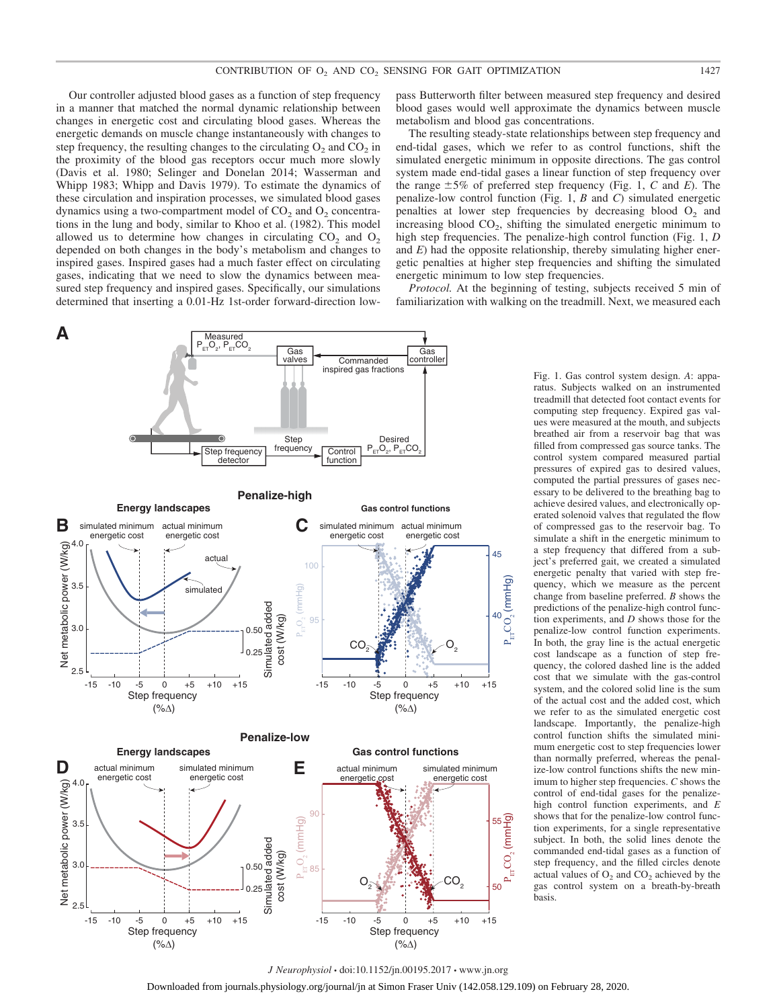Our controller adjusted blood gases as a function of step frequency in a manner that matched the normal dynamic relationship between changes in energetic cost and circulating blood gases. Whereas the energetic demands on muscle change instantaneously with changes to step frequency, the resulting changes to the circulating  $O_2$  and  $CO_2$  in the proximity of the blood gas receptors occur much more slowly (Davis et al. 1980; Selinger and Donelan 2014; Wasserman and Whipp 1983; Whipp and Davis 1979). To estimate the dynamics of these circulation and inspiration processes, we simulated blood gases dynamics using a two-compartment model of  $CO<sub>2</sub>$  and  $O<sub>2</sub>$  concentrations in the lung and body, similar to Khoo et al. (1982). This model allowed us to determine how changes in circulating  $CO<sub>2</sub>$  and  $O<sub>2</sub>$ depended on both changes in the body's metabolism and changes to inspired gases. Inspired gases had a much faster effect on circulating gases, indicating that we need to slow the dynamics between measured step frequency and inspired gases. Specifically, our simulations determined that inserting a 0.01-Hz 1st-order forward-direction low-



pass Butterworth filter between measured step frequency and desired blood gases would well approximate the dynamics between muscle metabolism and blood gas concentrations.

The resulting steady-state relationships between step frequency and end-tidal gases, which we refer to as control functions, shift the simulated energetic minimum in opposite directions. The gas control system made end-tidal gases a linear function of step frequency over the range  $\pm 5\%$  of preferred step frequency (Fig. 1, *C* and *E*). The penalize-low control function (Fig. 1, *B* and *C*) simulated energetic penalties at lower step frequencies by decreasing blood  $O<sub>2</sub>$  and increasing blood  $CO<sub>2</sub>$ , shifting the simulated energetic minimum to high step frequencies. The penalize-high control function (Fig. 1, *D* and *E*) had the opposite relationship, thereby simulating higher energetic penalties at higher step frequencies and shifting the simulated energetic minimum to low step frequencies.

*Protocol.* At the beginning of testing, subjects received 5 min of familiarization with walking on the treadmill. Next, we measured each

> Fig. 1. Gas control system design. *A*: apparatus. Subjects walked on an instrumented treadmill that detected foot contact events for computing step frequency. Expired gas values were measured at the mouth, and subjects breathed air from a reservoir bag that was filled from compressed gas source tanks. The control system compared measured partial pressures of expired gas to desired values, computed the partial pressures of gases necessary to be delivered to the breathing bag to achieve desired values, and electronically operated solenoid valves that regulated the flow of compressed gas to the reservoir bag. To simulate a shift in the energetic minimum to a step frequency that differed from a subject's preferred gait, we created a simulated energetic penalty that varied with step frequency, which we measure as the percent change from baseline preferred. *B* shows the predictions of the penalize-high control function experiments, and *D* shows those for the penalize-low control function experiments. In both, the gray line is the actual energetic cost landscape as a function of step frequency, the colored dashed line is the added cost that we simulate with the gas-control system, and the colored solid line is the sum of the actual cost and the added cost, which we refer to as the simulated energetic cost landscape. Importantly, the penalize-high control function shifts the simulated minimum energetic cost to step frequencies lower than normally preferred, whereas the penalize-low control functions shifts the new minimum to higher step frequencies. *C* shows the control of end-tidal gases for the penalizehigh control function experiments, and *E* shows that for the penalize-low control function experiments, for a single representative subject. In both, the solid lines denote the commanded end-tidal gases as a function of step frequency, and the filled circles denote actual values of  $O<sub>2</sub>$  and  $CO<sub>2</sub>$  achieved by the gas control system on a breath-by-breath basis.

*J Neurophysiol* • doi:10.1152/jn.00195.2017 • www.jn.org Downloaded from journals.physiology.org/journal/jn at Simon Fraser Univ (142.058.129.109) on February 28, 2020.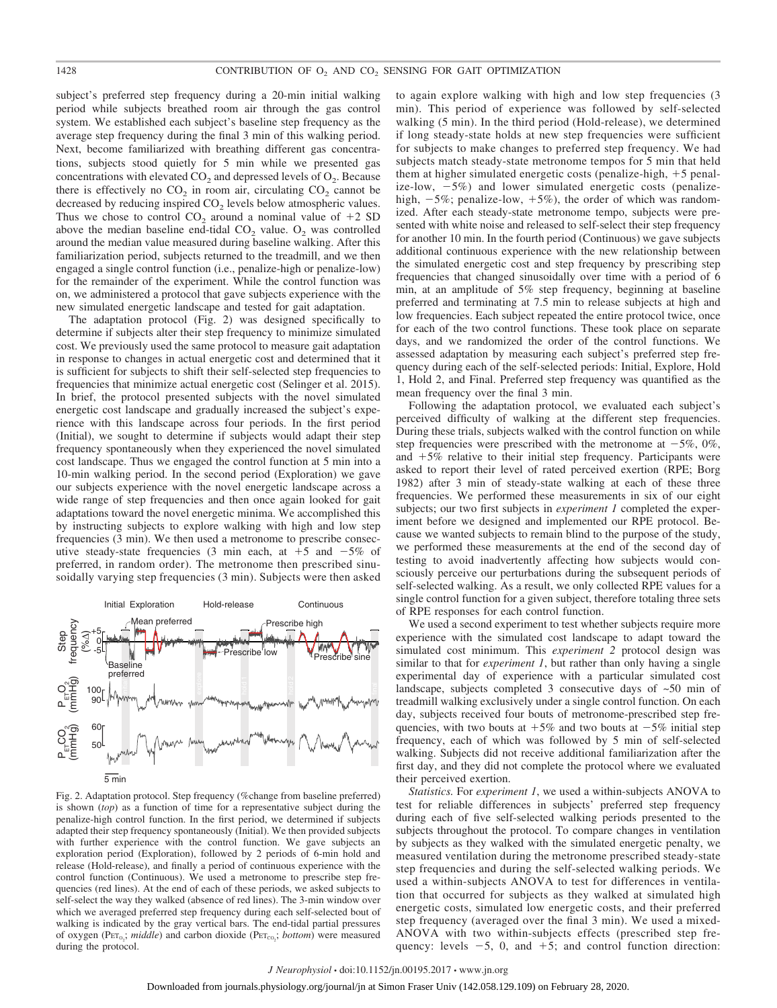subject's preferred step frequency during a 20-min initial walking period while subjects breathed room air through the gas control system. We established each subject's baseline step frequency as the average step frequency during the final 3 min of this walking period. Next, become familiarized with breathing different gas concentrations, subjects stood quietly for 5 min while we presented gas concentrations with elevated  $CO<sub>2</sub>$  and depressed levels of  $O<sub>2</sub>$ . Because there is effectively no  $CO<sub>2</sub>$  in room air, circulating  $CO<sub>2</sub>$  cannot be decreased by reducing inspired  $CO<sub>2</sub>$  levels below atmospheric values. Thus we chose to control  $CO_2$  around a nominal value of  $+2$  SD above the median baseline end-tidal  $CO<sub>2</sub>$  value.  $O<sub>2</sub>$  was controlled around the median value measured during baseline walking. After this familiarization period, subjects returned to the treadmill, and we then engaged a single control function (i.e., penalize-high or penalize-low) for the remainder of the experiment. While the control function was on, we administered a protocol that gave subjects experience with the new simulated energetic landscape and tested for gait adaptation.

The adaptation protocol (Fig. 2) was designed specifically to determine if subjects alter their step frequency to minimize simulated cost. We previously used the same protocol to measure gait adaptation in response to changes in actual energetic cost and determined that it is sufficient for subjects to shift their self-selected step frequencies to frequencies that minimize actual energetic cost (Selinger et al. 2015). In brief, the protocol presented subjects with the novel simulated energetic cost landscape and gradually increased the subject's experience with this landscape across four periods. In the first period (Initial), we sought to determine if subjects would adapt their step frequency spontaneously when they experienced the novel simulated cost landscape. Thus we engaged the control function at 5 min into a 10-min walking period. In the second period (Exploration) we gave our subjects experience with the novel energetic landscape across a wide range of step frequencies and then once again looked for gait adaptations toward the novel energetic minima. We accomplished this by instructing subjects to explore walking with high and low step frequencies (3 min). We then used a metronome to prescribe consecutive steady-state frequencies (3 min each, at  $+5$  and  $-5\%$  of preferred, in random order). The metronome then prescribed sinusoidally varying step frequencies (3 min). Subjects were then asked



Fig. 2. Adaptation protocol. Step frequency (%change from baseline preferred) is shown (*top*) as a function of time for a representative subject during the penalize-high control function. In the first period, we determined if subjects adapted their step frequency spontaneously (Initial). We then provided subjects with further experience with the control function. We gave subjects an exploration period (Exploration), followed by 2 periods of 6-min hold and release (Hold-release), and finally a period of continuous experience with the control function (Continuous). We used a metronome to prescribe step frequencies (red lines). At the end of each of these periods, we asked subjects to self-select the way they walked (absence of red lines). The 3-min window over which we averaged preferred step frequency during each self-selected bout of walking is indicated by the gray vertical bars. The end-tidal partial pressures of oxygen (PET<sub>O2</sub>; *middle*) and carbon dioxide (PET<sub>CO2</sub>; *bottom*) were measured during the protocol.

to again explore walking with high and low step frequencies (3 min). This period of experience was followed by self-selected walking (5 min). In the third period (Hold-release), we determined if long steady-state holds at new step frequencies were sufficient for subjects to make changes to preferred step frequency. We had subjects match steady-state metronome tempos for 5 min that held them at higher simulated energetic costs (penalize-high,  $+5$  penalize-low,  $-5\%$ ) and lower simulated energetic costs (penalizehigh,  $-5\%$ ; penalize-low,  $+5\%$ ), the order of which was randomized. After each steady-state metronome tempo, subjects were presented with white noise and released to self-select their step frequency for another 10 min. In the fourth period (Continuous) we gave subjects additional continuous experience with the new relationship between the simulated energetic cost and step frequency by prescribing step frequencies that changed sinusoidally over time with a period of 6 min, at an amplitude of 5% step frequency, beginning at baseline preferred and terminating at 7.5 min to release subjects at high and low frequencies. Each subject repeated the entire protocol twice, once for each of the two control functions. These took place on separate days, and we randomized the order of the control functions. We assessed adaptation by measuring each subject's preferred step frequency during each of the self-selected periods: Initial, Explore, Hold 1, Hold 2, and Final. Preferred step frequency was quantified as the mean frequency over the final 3 min.

Following the adaptation protocol, we evaluated each subject's perceived difficulty of walking at the different step frequencies. During these trials, subjects walked with the control function on while step frequencies were prescribed with the metronome at  $-5\%$ , 0%, and  $+5\%$  relative to their initial step frequency. Participants were asked to report their level of rated perceived exertion (RPE; Borg 1982) after 3 min of steady-state walking at each of these three frequencies. We performed these measurements in six of our eight subjects; our two first subjects in *experiment 1* completed the experiment before we designed and implemented our RPE protocol. Because we wanted subjects to remain blind to the purpose of the study, we performed these measurements at the end of the second day of testing to avoid inadvertently affecting how subjects would consciously perceive our perturbations during the subsequent periods of self-selected walking. As a result, we only collected RPE values for a single control function for a given subject, therefore totaling three sets of RPE responses for each control function.

We used a second experiment to test whether subjects require more experience with the simulated cost landscape to adapt toward the simulated cost minimum. This *experiment 2* protocol design was similar to that for *experiment 1*, but rather than only having a single experimental day of experience with a particular simulated cost landscape, subjects completed 3 consecutive days of ~50 min of treadmill walking exclusively under a single control function. On each day, subjects received four bouts of metronome-prescribed step frequencies, with two bouts at  $+5\%$  and two bouts at  $-5\%$  initial step frequency, each of which was followed by 5 min of self-selected walking. Subjects did not receive additional familiarization after the first day, and they did not complete the protocol where we evaluated their perceived exertion.

*Statistics.* For *experiment 1*, we used a within-subjects ANOVA to test for reliable differences in subjects' preferred step frequency during each of five self-selected walking periods presented to the subjects throughout the protocol. To compare changes in ventilation by subjects as they walked with the simulated energetic penalty, we measured ventilation during the metronome prescribed steady-state step frequencies and during the self-selected walking periods. We used a within-subjects ANOVA to test for differences in ventilation that occurred for subjects as they walked at simulated high energetic costs, simulated low energetic costs, and their preferred step frequency (averaged over the final 3 min). We used a mixed-ANOVA with two within-subjects effects (prescribed step frequency: levels  $-5$ , 0, and  $+5$ ; and control function direction: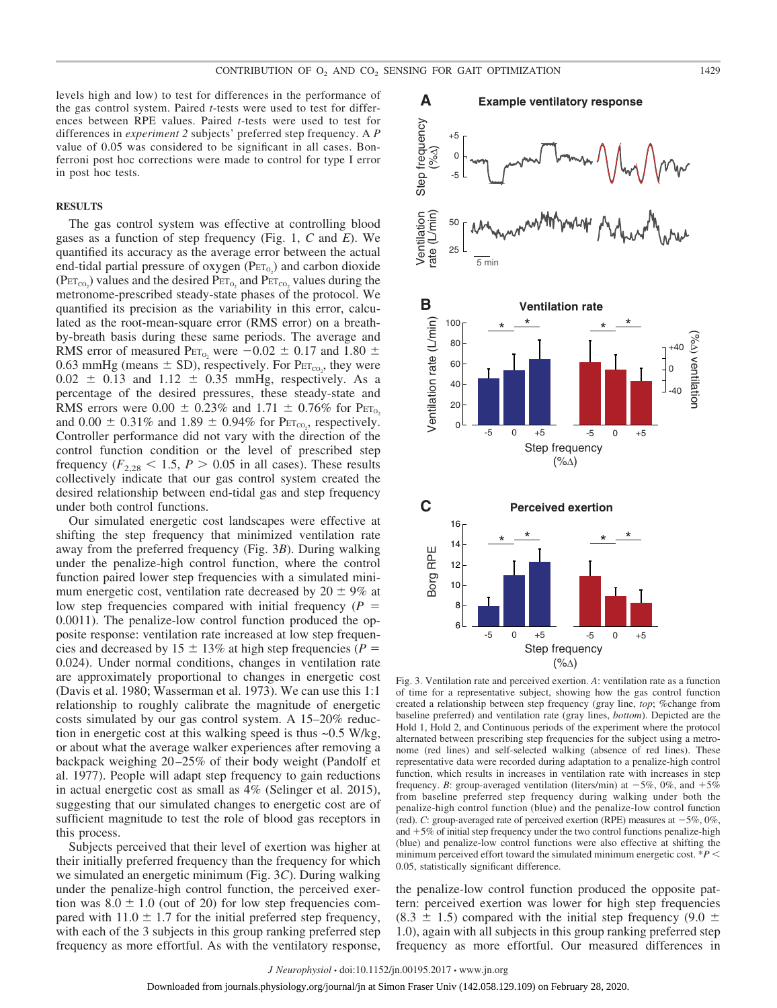levels high and low) to test for differences in the performance of the gas control system. Paired *t*-tests were used to test for differences between RPE values. Paired *t*-tests were used to test for differences in *experiment 2* subjects' preferred step frequency. A *P* value of 0.05 was considered to be significant in all cases. Bonferroni post hoc corrections were made to control for type I error in post hoc tests.

### **RESULTS**

The gas control system was effective at controlling blood gases as a function of step frequency (Fig. 1, *C* and *E*). We quantified its accuracy as the average error between the actual end-tidal partial pressure of oxygen  $(PET<sub>O<sub>2</sub></sub>)$  and carbon dioxide  $(\text{Per}_{\text{co}_2})$  values and the desired  $\text{Per}_{\text{Co}_2}$  and  $\text{Per}_{\text{co}_2}$  values during the metronome-prescribed steady-state phases of the protocol. We quantified its precision as the variability in this error, calculated as the root-mean-square error (RMS error) on a breathby-breath basis during these same periods. The average and RMS error of measured P $\text{ET}_{0_2}$  were  $-0.02 \pm 0.17$  and 1.80  $\pm$ 0.63 mmHg (means  $\pm$  SD), respectively. For  $Per_{\text{CO}_2}$ , they were  $0.02 \pm 0.13$  and  $1.12 \pm 0.35$  mmHg, respectively. As a percentage of the desired pressures, these steady-state and RMS errors were  $0.00 \pm 0.23\%$  and  $1.71 \pm 0.76\%$  for  $\text{Per}_{O_2}$ and  $0.00 \pm 0.31\%$  and  $1.89 \pm 0.94\%$  for P $E_{\text{CO}_2}$ , respectively. Controller performance did not vary with the direction of the control function condition or the level of prescribed step frequency  $(F_{2,28} < 1.5, P > 0.05$  in all cases). These results collectively indicate that our gas control system created the desired relationship between end-tidal gas and step frequency under both control functions.

Our simulated energetic cost landscapes were effective at shifting the step frequency that minimized ventilation rate away from the preferred frequency (Fig. 3*B*). During walking under the penalize-high control function, where the control function paired lower step frequencies with a simulated minimum energetic cost, ventilation rate decreased by  $20 \pm 9\%$  at low step frequencies compared with initial frequency (*P* 0.0011). The penalize-low control function produced the opposite response: ventilation rate increased at low step frequencies and decreased by  $15 \pm 13\%$  at high step frequencies ( $P =$ 0.024). Under normal conditions, changes in ventilation rate are approximately proportional to changes in energetic cost (Davis et al. 1980; Wasserman et al. 1973). We can use this 1:1 relationship to roughly calibrate the magnitude of energetic costs simulated by our gas control system. A 15–20% reduction in energetic cost at this walking speed is thus ~0.5 W/kg, or about what the average walker experiences after removing a backpack weighing 20 –25% of their body weight (Pandolf et al. 1977). People will adapt step frequency to gain reductions in actual energetic cost as small as 4% (Selinger et al. 2015), suggesting that our simulated changes to energetic cost are of sufficient magnitude to test the role of blood gas receptors in this process.

Subjects perceived that their level of exertion was higher at their initially preferred frequency than the frequency for which we simulated an energetic minimum (Fig. 3*C*). During walking under the penalize-high control function, the perceived exertion was  $8.0 \pm 1.0$  (out of 20) for low step frequencies compared with  $11.0 \pm 1.7$  for the initial preferred step frequency, with each of the 3 subjects in this group ranking preferred step frequency as more effortful. As with the ventilatory response,



Fig. 3. Ventilation rate and perceived exertion. *A*: ventilation rate as a function of time for a representative subject, showing how the gas control function created a relationship between step frequency (gray line, *top*; %change from baseline preferred) and ventilation rate (gray lines, *bottom*). Depicted are the Hold 1, Hold 2, and Continuous periods of the experiment where the protocol alternated between prescribing step frequencies for the subject using a metronome (red lines) and self-selected walking (absence of red lines). These representative data were recorded during adaptation to a penalize-high control function, which results in increases in ventilation rate with increases in step frequency. *B*: group-averaged ventilation (liters/min) at  $-5\%$ , 0%, and  $+5\%$ from baseline preferred step frequency during walking under both the penalize-high control function (blue) and the penalize-low control function (red).  $C$ : group-averaged rate of perceived exertion (RPE) measures at  $-5\%, 0\%$ , and  $+5\%$  of initial step frequency under the two control functions penalize-high (blue) and penalize-low control functions were also effective at shifting the minimum perceived effort toward the simulated minimum energetic cost.  $P \leq$ 0.05, statistically significant difference.

the penalize-low control function produced the opposite pattern: perceived exertion was lower for high step frequencies  $(8.3 \pm 1.5)$  compared with the initial step frequency  $(9.0 \pm 1.5)$ 1.0), again with all subjects in this group ranking preferred step frequency as more effortful. Our measured differences in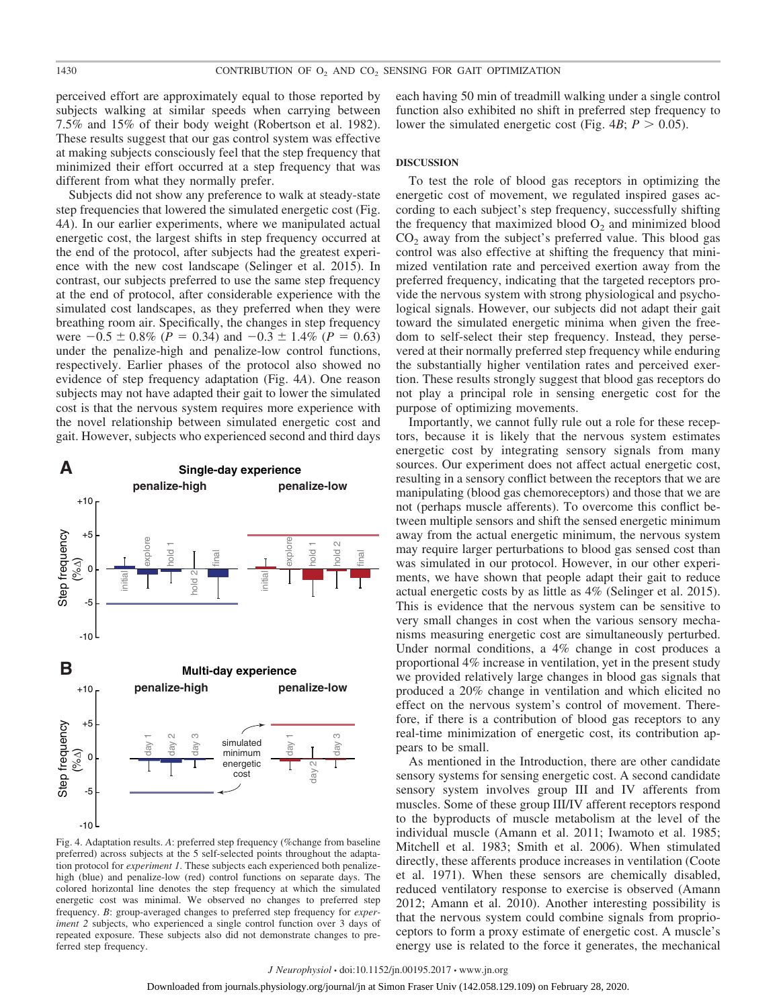perceived effort are approximately equal to those reported by subjects walking at similar speeds when carrying between 7.5% and 15% of their body weight (Robertson et al. 1982). These results suggest that our gas control system was effective at making subjects consciously feel that the step frequency that minimized their effort occurred at a step frequency that was different from what they normally prefer.

Subjects did not show any preference to walk at steady-state step frequencies that lowered the simulated energetic cost (Fig. 4*A*). In our earlier experiments, where we manipulated actual energetic cost, the largest shifts in step frequency occurred at the end of the protocol, after subjects had the greatest experience with the new cost landscape (Selinger et al. 2015). In contrast, our subjects preferred to use the same step frequency at the end of protocol, after considerable experience with the simulated cost landscapes, as they preferred when they were breathing room air. Specifically, the changes in step frequency were  $-0.5 \pm 0.8\%$  (*P* = 0.34) and  $-0.3 \pm 1.4\%$  (*P* = 0.63) under the penalize-high and penalize-low control functions, respectively. Earlier phases of the protocol also showed no evidence of step frequency adaptation (Fig. 4*A*). One reason subjects may not have adapted their gait to lower the simulated cost is that the nervous system requires more experience with the novel relationship between simulated energetic cost and gait. However, subjects who experienced second and third days



Fig. 4. Adaptation results. *A*: preferred step frequency (%change from baseline preferred) across subjects at the 5 self-selected points throughout the adaptation protocol for *experiment 1*. These subjects each experienced both penalizehigh (blue) and penalize-low (red) control functions on separate days. The colored horizontal line denotes the step frequency at which the simulated energetic cost was minimal. We observed no changes to preferred step frequency. *B*: group-averaged changes to preferred step frequency for *experiment 2* subjects, who experienced a single control function over 3 days of repeated exposure. These subjects also did not demonstrate changes to preferred step frequency.

each having 50 min of treadmill walking under a single control function also exhibited no shift in preferred step frequency to lower the simulated energetic cost (Fig.  $4B$ ;  $P > 0.05$ ).

## **DISCUSSION**

To test the role of blood gas receptors in optimizing the energetic cost of movement, we regulated inspired gases according to each subject's step frequency, successfully shifting the frequency that maximized blood  $O<sub>2</sub>$  and minimized blood  $CO<sub>2</sub>$  away from the subject's preferred value. This blood gas control was also effective at shifting the frequency that minimized ventilation rate and perceived exertion away from the preferred frequency, indicating that the targeted receptors provide the nervous system with strong physiological and psychological signals. However, our subjects did not adapt their gait toward the simulated energetic minima when given the freedom to self-select their step frequency. Instead, they persevered at their normally preferred step frequency while enduring the substantially higher ventilation rates and perceived exertion. These results strongly suggest that blood gas receptors do not play a principal role in sensing energetic cost for the purpose of optimizing movements.

Importantly, we cannot fully rule out a role for these receptors, because it is likely that the nervous system estimates energetic cost by integrating sensory signals from many sources. Our experiment does not affect actual energetic cost, resulting in a sensory conflict between the receptors that we are manipulating (blood gas chemoreceptors) and those that we are not (perhaps muscle afferents). To overcome this conflict between multiple sensors and shift the sensed energetic minimum away from the actual energetic minimum, the nervous system may require larger perturbations to blood gas sensed cost than was simulated in our protocol. However, in our other experiments, we have shown that people adapt their gait to reduce actual energetic costs by as little as 4% (Selinger et al. 2015). This is evidence that the nervous system can be sensitive to very small changes in cost when the various sensory mechanisms measuring energetic cost are simultaneously perturbed. Under normal conditions, a 4% change in cost produces a proportional 4% increase in ventilation, yet in the present study we provided relatively large changes in blood gas signals that produced a 20% change in ventilation and which elicited no effect on the nervous system's control of movement. Therefore, if there is a contribution of blood gas receptors to any real-time minimization of energetic cost, its contribution appears to be small.

As mentioned in the Introduction, there are other candidate sensory systems for sensing energetic cost. A second candidate sensory system involves group III and IV afferents from muscles. Some of these group III/IV afferent receptors respond to the byproducts of muscle metabolism at the level of the individual muscle (Amann et al. 2011; Iwamoto et al. 1985; Mitchell et al. 1983; Smith et al. 2006). When stimulated directly, these afferents produce increases in ventilation (Coote et al. 1971). When these sensors are chemically disabled, reduced ventilatory response to exercise is observed (Amann 2012; Amann et al. 2010). Another interesting possibility is that the nervous system could combine signals from proprioceptors to form a proxy estimate of energetic cost. A muscle's energy use is related to the force it generates, the mechanical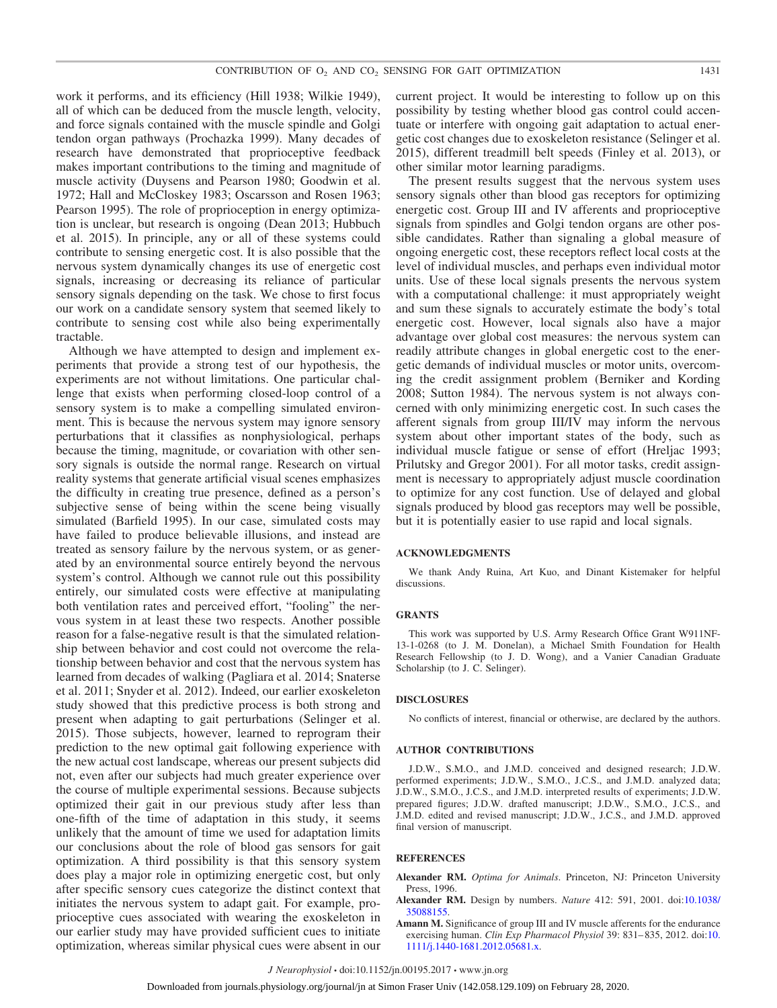work it performs, and its efficiency (Hill 1938; Wilkie 1949), all of which can be deduced from the muscle length, velocity, and force signals contained with the muscle spindle and Golgi tendon organ pathways (Prochazka 1999). Many decades of research have demonstrated that proprioceptive feedback makes important contributions to the timing and magnitude of muscle activity (Duysens and Pearson 1980; Goodwin et al. 1972; Hall and McCloskey 1983; Oscarsson and Rosen 1963; Pearson 1995). The role of proprioception in energy optimization is unclear, but research is ongoing (Dean 2013; Hubbuch et al. 2015). In principle, any or all of these systems could contribute to sensing energetic cost. It is also possible that the nervous system dynamically changes its use of energetic cost signals, increasing or decreasing its reliance of particular sensory signals depending on the task. We chose to first focus our work on a candidate sensory system that seemed likely to contribute to sensing cost while also being experimentally tractable.

Although we have attempted to design and implement experiments that provide a strong test of our hypothesis, the experiments are not without limitations. One particular challenge that exists when performing closed-loop control of a sensory system is to make a compelling simulated environment. This is because the nervous system may ignore sensory perturbations that it classifies as nonphysiological, perhaps because the timing, magnitude, or covariation with other sensory signals is outside the normal range. Research on virtual reality systems that generate artificial visual scenes emphasizes the difficulty in creating true presence, defined as a person's subjective sense of being within the scene being visually simulated (Barfield 1995). In our case, simulated costs may have failed to produce believable illusions, and instead are treated as sensory failure by the nervous system, or as generated by an environmental source entirely beyond the nervous system's control. Although we cannot rule out this possibility entirely, our simulated costs were effective at manipulating both ventilation rates and perceived effort, "fooling" the nervous system in at least these two respects. Another possible reason for a false-negative result is that the simulated relationship between behavior and cost could not overcome the relationship between behavior and cost that the nervous system has learned from decades of walking (Pagliara et al. 2014; Snaterse et al. 2011; Snyder et al. 2012). Indeed, our earlier exoskeleton study showed that this predictive process is both strong and present when adapting to gait perturbations (Selinger et al. 2015). Those subjects, however, learned to reprogram their prediction to the new optimal gait following experience with the new actual cost landscape, whereas our present subjects did not, even after our subjects had much greater experience over the course of multiple experimental sessions. Because subjects optimized their gait in our previous study after less than one-fifth of the time of adaptation in this study, it seems unlikely that the amount of time we used for adaptation limits our conclusions about the role of blood gas sensors for gait optimization. A third possibility is that this sensory system does play a major role in optimizing energetic cost, but only after specific sensory cues categorize the distinct context that initiates the nervous system to adapt gait. For example, proprioceptive cues associated with wearing the exoskeleton in our earlier study may have provided sufficient cues to initiate optimization, whereas similar physical cues were absent in our current project. It would be interesting to follow up on this possibility by testing whether blood gas control could accentuate or interfere with ongoing gait adaptation to actual energetic cost changes due to exoskeleton resistance (Selinger et al. 2015), different treadmill belt speeds (Finley et al. 2013), or other similar motor learning paradigms.

The present results suggest that the nervous system uses sensory signals other than blood gas receptors for optimizing energetic cost. Group III and IV afferents and proprioceptive signals from spindles and Golgi tendon organs are other possible candidates. Rather than signaling a global measure of ongoing energetic cost, these receptors reflect local costs at the level of individual muscles, and perhaps even individual motor units. Use of these local signals presents the nervous system with a computational challenge: it must appropriately weight and sum these signals to accurately estimate the body's total energetic cost. However, local signals also have a major advantage over global cost measures: the nervous system can readily attribute changes in global energetic cost to the energetic demands of individual muscles or motor units, overcoming the credit assignment problem (Berniker and Kording 2008; Sutton 1984). The nervous system is not always concerned with only minimizing energetic cost. In such cases the afferent signals from group III/IV may inform the nervous system about other important states of the body, such as individual muscle fatigue or sense of effort (Hreljac 1993; Prilutsky and Gregor 2001). For all motor tasks, credit assignment is necessary to appropriately adjust muscle coordination to optimize for any cost function. Use of delayed and global signals produced by blood gas receptors may well be possible, but it is potentially easier to use rapid and local signals.

#### **ACKNOWLEDGMENTS**

We thank Andy Ruina, Art Kuo, and Dinant Kistemaker for helpful discussions.

#### **GRANTS**

This work was supported by U.S. Army Research Office Grant W911NF-13-1-0268 (to J. M. Donelan), a Michael Smith Foundation for Health Research Fellowship (to J. D. Wong), and a Vanier Canadian Graduate Scholarship (to J. C. Selinger).

#### **DISCLOSURES**

No conflicts of interest, financial or otherwise, are declared by the authors.

#### **AUTHOR CONTRIBUTIONS**

J.D.W., S.M.O., and J.M.D. conceived and designed research; J.D.W. performed experiments; J.D.W., S.M.O., J.C.S., and J.M.D. analyzed data; J.D.W., S.M.O., J.C.S., and J.M.D. interpreted results of experiments; J.D.W. prepared figures; J.D.W. drafted manuscript; J.D.W., S.M.O., J.C.S., and J.M.D. edited and revised manuscript; J.D.W., J.C.S., and J.M.D. approved final version of manuscript.

#### **REFERENCES**

- **Alexander RM.** *Optima for Animals*. Princeton, NJ: Princeton University Press, 1996.
- **Alexander RM.** Design by numbers. *Nature* 412: 591, 2001. doi[:10.1038/](https://doi.org/10.1038/35088155) [35088155.](https://doi.org/10.1038/35088155)
- **Amann M.** Significance of group III and IV muscle afferents for the endurance exercising human. *Clin Exp Pharmacol Physiol* 39: 831-835, 2012. doi[:10.](https://doi.org/10.1111/j.1440-1681.2012.05681.x) [1111/j.1440-1681.2012.05681.x.](https://doi.org/10.1111/j.1440-1681.2012.05681.x)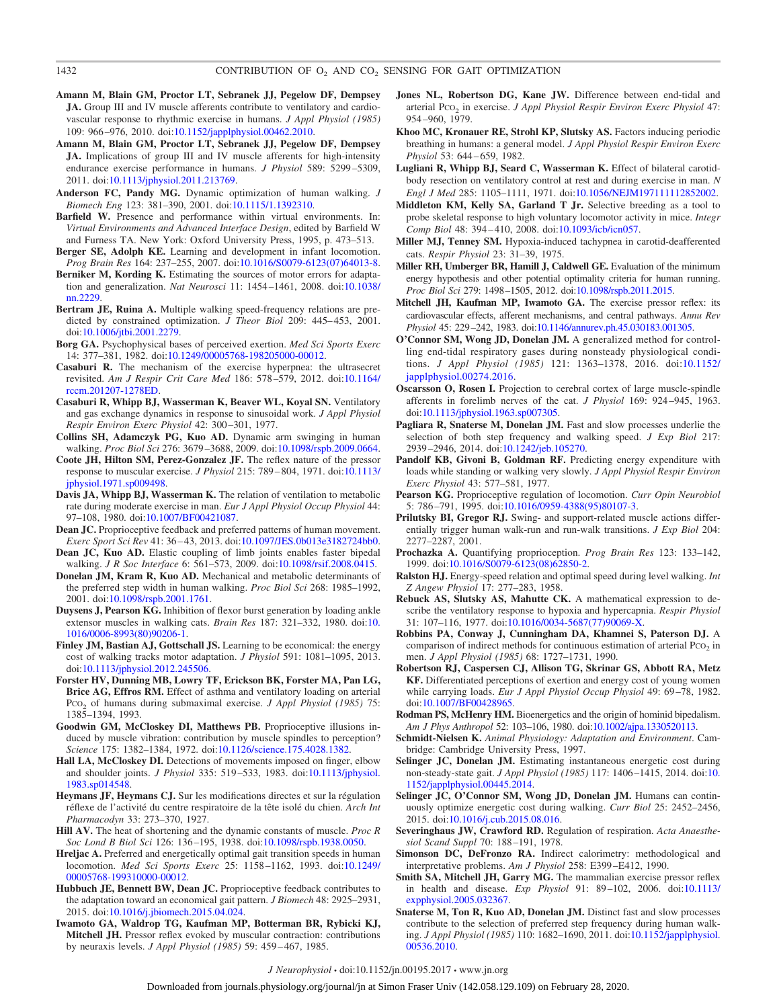- **Amann M, Blain GM, Proctor LT, Sebranek JJ, Pegelow DF, Dempsey JA.** Group III and IV muscle afferents contribute to ventilatory and cardiovascular response to rhythmic exercise in humans. *J Appl Physiol (1985)* 109: 966 –976, 2010. doi[:10.1152/japplphysiol.00462.2010.](https://doi.org/10.1152/japplphysiol.00462.2010)
- **Amann M, Blain GM, Proctor LT, Sebranek JJ, Pegelow DF, Dempsey JA.** Implications of group III and IV muscle afferents for high-intensity endurance exercise performance in humans. *J Physiol* 589: 5299 –5309, 2011. doi[:10.1113/jphysiol.2011.213769.](https://doi.org/10.1113/jphysiol.2011.213769)
- **Anderson FC, Pandy MG.** Dynamic optimization of human walking. *J Biomech Eng* 123: 381–390, 2001. doi[:10.1115/1.1392310.](https://doi.org/10.1115/1.1392310)
- **Barfield W.** Presence and performance within virtual environments. In: *Virtual Environments and Advanced Interface Design*, edited by Barfield W and Furness TA. New York: Oxford University Press, 1995, p. 473–513.
- **Berger SE, Adolph KE.** Learning and development in infant locomotion. *Prog Brain Res* 164: 237–255, 2007. doi[:10.1016/S0079-6123\(07\)64013-8.](https://doi.org/10.1016/S0079-6123(07)64013-8)
- **Berniker M, Kording K.** Estimating the sources of motor errors for adaptation and generalization. *Nat Neurosci* 11: 1454 –1461, 2008. doi[:10.1038/](https://doi.org/10.1038/nn.2229) [nn.2229.](https://doi.org/10.1038/nn.2229)
- **Bertram JE, Ruina A.** Multiple walking speed-frequency relations are predicted by constrained optimization. *J Theor Biol* 209: 445-453, 2001. doi[:10.1006/jtbi.2001.2279.](https://doi.org/10.1006/jtbi.2001.2279)
- **Borg GA.** Psychophysical bases of perceived exertion. *Med Sci Sports Exerc* 14: 377–381, 1982. doi[:10.1249/00005768-198205000-00012.](https://doi.org/10.1249/00005768-198205000-00012)
- **Casaburi R.** The mechanism of the exercise hyperpnea: the ultrasecret revisited. *Am J Respir Crit Care Med* 186: 578 –579, 2012. doi[:10.1164/](https://doi.org/10.1164/rccm.201207-1278ED) [rccm.201207-1278ED.](https://doi.org/10.1164/rccm.201207-1278ED)
- **Casaburi R, Whipp BJ, Wasserman K, Beaver WL, Koyal SN.** Ventilatory and gas exchange dynamics in response to sinusoidal work. *J Appl Physiol Respir Environ Exerc Physiol* 42: 300 –301, 1977.
- **Collins SH, Adamczyk PG, Kuo AD.** Dynamic arm swinging in human walking. *Proc Biol Sci* 276: 3679 –3688, 2009. doi[:10.1098/rspb.2009.0664.](https://doi.org/10.1098/rspb.2009.0664)
- **Coote JH, Hilton SM, Perez-Gonzalez JF.** The reflex nature of the pressor response to muscular exercise. *J Physiol* 215: 789 – 804, 1971. doi[:10.1113/](https://doi.org/10.1113/jphysiol.1971.sp009498) [jphysiol.1971.sp009498.](https://doi.org/10.1113/jphysiol.1971.sp009498)
- **Davis JA, Whipp BJ, Wasserman K.** The relation of ventilation to metabolic rate during moderate exercise in man. *Eur J Appl Physiol Occup Physiol* 44: 97–108, 1980. doi[:10.1007/BF00421087.](https://doi.org/10.1007/BF00421087)
- **Dean JC.** Proprioceptive feedback and preferred patterns of human movement. *Exerc Sport Sci Rev* 41: 36 – 43, 2013. doi[:10.1097/JES.0b013e3182724bb0.](https://doi.org/10.1097/JES.0b013e3182724bb0)
- **Dean JC, Kuo AD.** Elastic coupling of limb joints enables faster bipedal walking. *J R Soc Interface* 6: 561–573, 2009. doi[:10.1098/rsif.2008.0415.](https://doi.org/10.1098/rsif.2008.0415)
- **Donelan JM, Kram R, Kuo AD.** Mechanical and metabolic determinants of the preferred step width in human walking. *Proc Biol Sci* 268: 1985–1992, 2001. doi[:10.1098/rspb.2001.1761.](https://doi.org/10.1098/rspb.2001.1761)
- **Duysens J, Pearson KG.** Inhibition of flexor burst generation by loading ankle extensor muscles in walking cats. *Brain Res* 187: 321–332, 1980. doi[:10.](https://doi.org/10.1016/0006-8993(80)90206-1) [1016/0006-8993\(80\)90206-1.](https://doi.org/10.1016/0006-8993(80)90206-1)
- **Finley JM, Bastian AJ, Gottschall JS.** Learning to be economical: the energy cost of walking tracks motor adaptation. *J Physiol* 591: 1081–1095, 2013. doi[:10.1113/jphysiol.2012.245506.](https://doi.org/10.1113/jphysiol.2012.245506)
- **Forster HV, Dunning MB, Lowry TF, Erickson BK, Forster MA, Pan LG, Brice AG, Effros RM.** Effect of asthma and ventilatory loading on arterial PCO2 of humans during submaximal exercise. *J Appl Physiol (1985)* 75: 1385–1394, 1993.
- **Goodwin GM, McCloskey DI, Matthews PB.** Proprioceptive illusions induced by muscle vibration: contribution by muscle spindles to perception? *Science* 175: 1382–1384, 1972. doi[:10.1126/science.175.4028.1382.](https://doi.org/10.1126/science.175.4028.1382)
- **Hall LA, McCloskey DI.** Detections of movements imposed on finger, elbow and shoulder joints. *J Physiol* 335: 519 –533, 1983. doi[:10.1113/jphysiol.](https://doi.org/10.1113/jphysiol.1983.sp014548) [1983.sp014548.](https://doi.org/10.1113/jphysiol.1983.sp014548)
- **Heymans JF, Heymans CJ.** Sur les modifications directes et sur la régulation réflexe de l'activité du centre respiratoire de la tête isolé du chien. *Arch Int Pharmacodyn* 33: 273–370, 1927.
- **Hill AV.** The heat of shortening and the dynamic constants of muscle. *Proc R Soc Lond B Biol Sci* 126: 136 –195, 1938. doi[:10.1098/rspb.1938.0050.](https://doi.org/10.1098/rspb.1938.0050)
- **Hreljac A.** Preferred and energetically optimal gait transition speeds in human locomotion. *Med Sci Sports Exerc* 25: 1158 –1162, 1993. doi[:10.1249/](https://doi.org/10.1249/00005768-199310000-00012) [00005768-199310000-00012.](https://doi.org/10.1249/00005768-199310000-00012)
- **Hubbuch JE, Bennett BW, Dean JC.** Proprioceptive feedback contributes to the adaptation toward an economical gait pattern. *J Biomech* 48: 2925–2931, 2015. doi[:10.1016/j.jbiomech.2015.04.024.](https://doi.org/10.1016/j.jbiomech.2015.04.024)
- **Iwamoto GA, Waldrop TG, Kaufman MP, Botterman BR, Rybicki KJ, Mitchell JH.** Pressor reflex evoked by muscular contraction: contributions by neuraxis levels. *J Appl Physiol (1985)* 59: 459 – 467, 1985.
- **Jones NL, Robertson DG, Kane JW.** Difference between end-tidal and arterial Pco<sub>2</sub> in exercise. *J Appl Physiol Respir Environ Exerc Physiol* 47: 954 –960, 1979.
- **Khoo MC, Kronauer RE, Strohl KP, Slutsky AS.** Factors inducing periodic breathing in humans: a general model. *J Appl Physiol Respir Environ Exerc Physiol* 53: 644 – 659, 1982.
- **Lugliani R, Whipp BJ, Seard C, Wasserman K.** Effect of bilateral carotidbody resection on ventilatory control at rest and during exercise in man. *N Engl J Med* 285: 1105–1111, 1971. doi[:10.1056/NEJM197111112852002.](https://doi.org/10.1056/NEJM197111112852002)
- **Middleton KM, Kelly SA, Garland T Jr.** Selective breeding as a tool to probe skeletal response to high voluntary locomotor activity in mice. *Integr Comp Biol* 48: 394 – 410, 2008. doi[:10.1093/icb/icn057.](https://doi.org/10.1093/icb/icn057)
- **Miller MJ, Tenney SM.** Hypoxia-induced tachypnea in carotid-deafferented cats. *Respir Physiol* 23: 31–39, 1975.
- **Miller RH, Umberger BR, Hamill J, Caldwell GE.** Evaluation of the minimum energy hypothesis and other potential optimality criteria for human running. *Proc Biol Sci* 279: 1498 –1505, 2012. doi[:10.1098/rspb.2011.2015.](https://doi.org/10.1098/rspb.2011.2015)
- **Mitchell JH, Kaufman MP, Iwamoto GA.** The exercise pressor reflex: its cardiovascular effects, afferent mechanisms, and central pathways. *Annu Rev Physiol* 45: 229 –242, 1983. doi[:10.1146/annurev.ph.45.030183.001305.](https://doi.org/10.1146/annurev.ph.45.030183.001305)
- **O'Connor SM, Wong JD, Donelan JM.** A generalized method for controlling end-tidal respiratory gases during nonsteady physiological conditions. *J Appl Physiol (1985)* 121: 1363–1378, 2016. doi[:10.1152/](https://doi.org/10.1152/japplphysiol.00274.2016) [japplphysiol.00274.2016.](https://doi.org/10.1152/japplphysiol.00274.2016)
- **Oscarsson O, Rosen I.** Projection to cerebral cortex of large muscle-spindle afferents in forelimb nerves of the cat. *J Physiol* 169: 924 –945, 1963. doi[:10.1113/jphysiol.1963.sp007305.](https://doi.org/10.1113/jphysiol.1963.sp007305)
- **Pagliara R, Snaterse M, Donelan JM.** Fast and slow processes underlie the selection of both step frequency and walking speed. *J Exp Biol* 217: 2939 –2946, 2014. doi[:10.1242/jeb.105270.](https://doi.org/10.1242/jeb.105270)
- **Pandolf KB, Givoni B, Goldman RF.** Predicting energy expenditure with loads while standing or walking very slowly. *J Appl Physiol Respir Environ Exerc Physiol* 43: 577–581, 1977.
- **Pearson KG.** Proprioceptive regulation of locomotion. *Curr Opin Neurobiol* 5: 786 –791, 1995. doi[:10.1016/0959-4388\(95\)80107-3.](https://doi.org/10.1016/0959-4388(95)80107-3)
- **Prilutsky BI, Gregor RJ.** Swing- and support-related muscle actions differentially trigger human walk-run and run-walk transitions. *J Exp Biol* 204: 2277–2287, 2001.
- **Prochazka A.** Quantifying proprioception. *Prog Brain Res* 123: 133–142, 1999. doi[:10.1016/S0079-6123\(08\)62850-2.](https://doi.org/10.1016/S0079-6123(08)62850-2)
- **Ralston HJ.** Energy-speed relation and optimal speed during level walking. *Int Z Angew Physiol* 17: 277–283, 1958.
- **Rebuck AS, Slutsky AS, Mahutte CK.** A mathematical expression to describe the ventilatory response to hypoxia and hypercapnia. *Respir Physiol* 31: 107–116, 1977. doi[:10.1016/0034-5687\(77\)90069-X.](https://doi.org/10.1016/0034-5687(77)90069-X)
- **Robbins PA, Conway J, Cunningham DA, Khamnei S, Paterson DJ.** A comparison of indirect methods for continuous estimation of arterial Pco<sub>2</sub> in men. *J Appl Physiol (1985)* 68: 1727–1731, 1990.
- **Robertson RJ, Caspersen CJ, Allison TG, Skrinar GS, Abbott RA, Metz KF.** Differentiated perceptions of exertion and energy cost of young women while carrying loads. *Eur J Appl Physiol Occup Physiol* 49: 69 –78, 1982. doi[:10.1007/BF00428965.](https://doi.org/10.1007/BF00428965)
- **Rodman PS, McHenry HM.** Bioenergetics and the origin of hominid bipedalism. *Am J Phys Anthropol* 52: 103–106, 1980. doi[:10.1002/ajpa.1330520113.](https://doi.org/10.1002/ajpa.1330520113)
- **Schmidt-Nielsen K.** *Animal Physiology: Adaptation and Environment*. Cambridge: Cambridge University Press, 1997.
- Selinger JC, Donelan JM. Estimating instantaneous energetic cost during non-steady-state gait. *J Appl Physiol (1985)* 117: 1406 –1415, 2014. doi[:10.](https://doi.org/10.1152/japplphysiol.00445.2014) [1152/japplphysiol.00445.2014.](https://doi.org/10.1152/japplphysiol.00445.2014)
- **Selinger JC, O'Connor SM, Wong JD, Donelan JM.** Humans can continuously optimize energetic cost during walking. *Curr Biol* 25: 2452–2456, 2015. doi[:10.1016/j.cub.2015.08.016.](https://doi.org/10.1016/j.cub.2015.08.016)
- **Severinghaus JW, Crawford RD.** Regulation of respiration. *Acta Anaesthesiol Scand Suppl* 70: 188 –191, 1978.
- **Simonson DC, DeFronzo RA.** Indirect calorimetry: methodological and interpretative problems. *Am J Physiol* 258: E399 –E412, 1990.
- **Smith SA, Mitchell JH, Garry MG.** The mammalian exercise pressor reflex in health and disease. *Exp Physiol* 91: 89 –102, 2006. doi[:10.1113/](https://doi.org/10.1113/expphysiol.2005.032367) [expphysiol.2005.032367.](https://doi.org/10.1113/expphysiol.2005.032367)
- **Snaterse M, Ton R, Kuo AD, Donelan JM.** Distinct fast and slow processes contribute to the selection of preferred step frequency during human walking. *J Appl Physiol (1985)* 110: 1682–1690, 2011. doi[:10.1152/japplphysiol.](https://doi.org/10.1152/japplphysiol.00536.2010) [00536.2010.](https://doi.org/10.1152/japplphysiol.00536.2010)